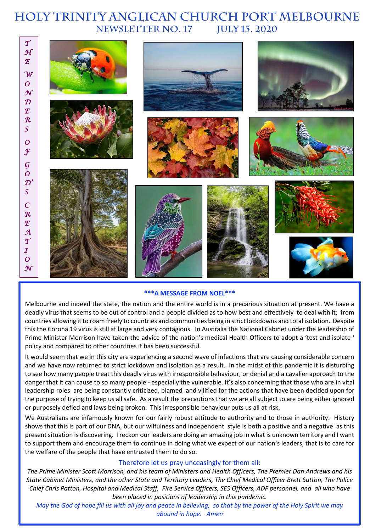# **HOLY TRINITY Anglican church PORT MELBOURNE NEWSLETTER No. 17 July 15, 2020**



#### **\*\*\*A MESSAGE FROM NOEL\*\*\***

Melbourne and indeed the state, the nation and the entire world is in a precarious situation at present. We have a deadly virus that seems to be out of control and a people divided as to how best and effectively to deal with it; from countries allowing it to roam freely to countries and communities being in strict lockdowns and total isolation. Despite this the Corona 19 virus is still at large and very contagious. In Australia the National Cabinet under the leadership of Prime Minister Morrison have taken the advice of the nation's medical Health Officers to adopt a 'test and isolate ' policy and compared to other countries it has been successful.

It would seem that we in this city are experiencing a second wave of infections that are causing considerable concern and we have now returned to strict lockdown and isolation as a result. In the midst of this pandemic it is disturbing to see how many people treat this deadly virus with irresponsible behaviour, or denial and a cavalier approach to the danger that it can cause to so many people - especially the vulnerable. It's also concerning that those who are in vital leadership roles are being constantly criticized, blamed and vilified for the actions that have been decided upon for the purpose of trying to keep us all safe. As a result the precautions that we are all subject to are being either ignored or purposely defied and laws being broken. This irresponsible behaviour puts us all at risk.

We Australians are infamously known for our fairly robust attitude to authority and to those in authority. History shows that this is part of our DNA, but our wilfulness and independent style is both a positive and a negative as this present situation is discovering. I reckon our leaders are doing an amazing job in what is unknown territory and I want to support them and encourage them to continue in doing what we expect of our nation's leaders, that is to care for the welfare of the people that have entrusted them to do so.

#### Therefore let us pray unceasingly for them all:

*The Prime Minister Scott Morrison, and his team of Ministers and Health Officers, The Premier Dan Andrews and his State Cabinet Ministers, and the other State and Territory Leaders, The Chief Medical Officer Brett Sutton, The Police Chief Chris Patton, Hospital and Medical Staff, Fire Service Officers, SES Officers, ADF personnel, and all who have been placed in positions of leadership in this pandemic.*

*May the God of hope fill us with all joy and peace in believing, so that by the power of the Holy Spirit we may abound in hope. Amen*